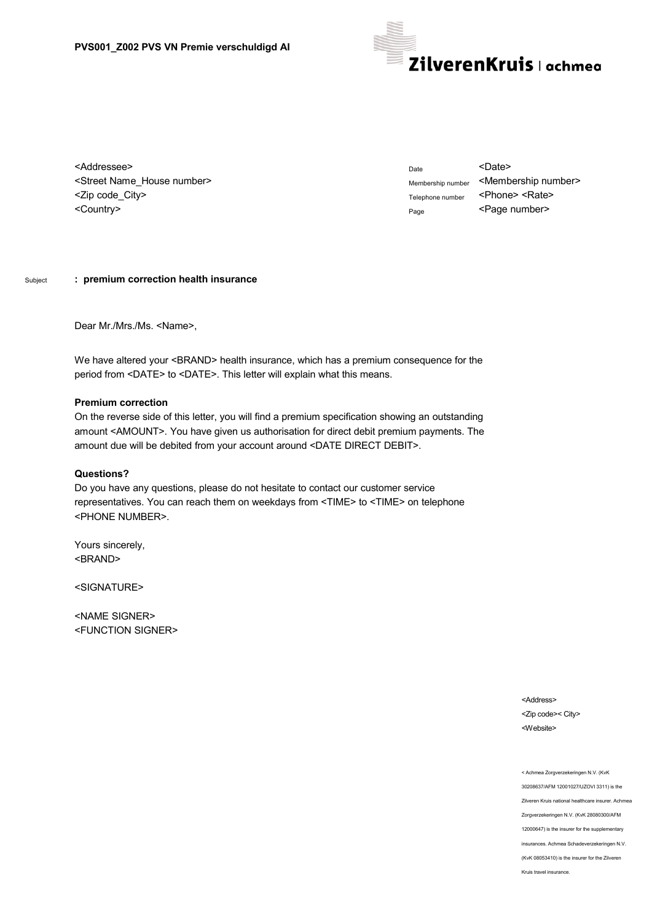

<Addressee> <Street Name\_House number> <Zip code\_City> <Country>

Date <Date> Membership number <Membership number> Telephone number <Phone> <Rate> Page <Page number>

## Subject **: premium correction health insurance**

Dear Mr./Mrs./Ms. <Name>,

We have altered your <BRAND> health insurance, which has a premium consequence for the period from <DATE> to <DATE>. This letter will explain what this means.

## **Premium correction**

On the reverse side of this letter, you will find a premium specification showing an outstanding amount <AMOUNT>. You have given us authorisation for direct debit premium payments. The amount due will be debited from your account around <DATE DIRECT DEBIT>.

## **Questions?**

Do you have any questions, please do not hesitate to contact our customer service representatives. You can reach them on weekdays from <TIME> to <TIME> on telephone <PHONE NUMBER>.

Yours sincerely, <BRAND>

<SIGNATURE>

<NAME SIGNER> <FUNCTION SIGNER>

> <Address> <Zip code>< City> <Website>

< Achmea Zorgverzekeringen N.V. (KvK 30208637/AFM 12001027/UZOVI 3311) is the Zilveren Kruis national healthcare insurer. Achmea Zorgverzekeringen N.V. (KvK 28080300/AFM 12000647) is the insurer for the supplementary insurances. Achmea Schadeverzekeringen N.V. (KvK 08053410) is the insurer for the Zilveren Kruis travel insurance.